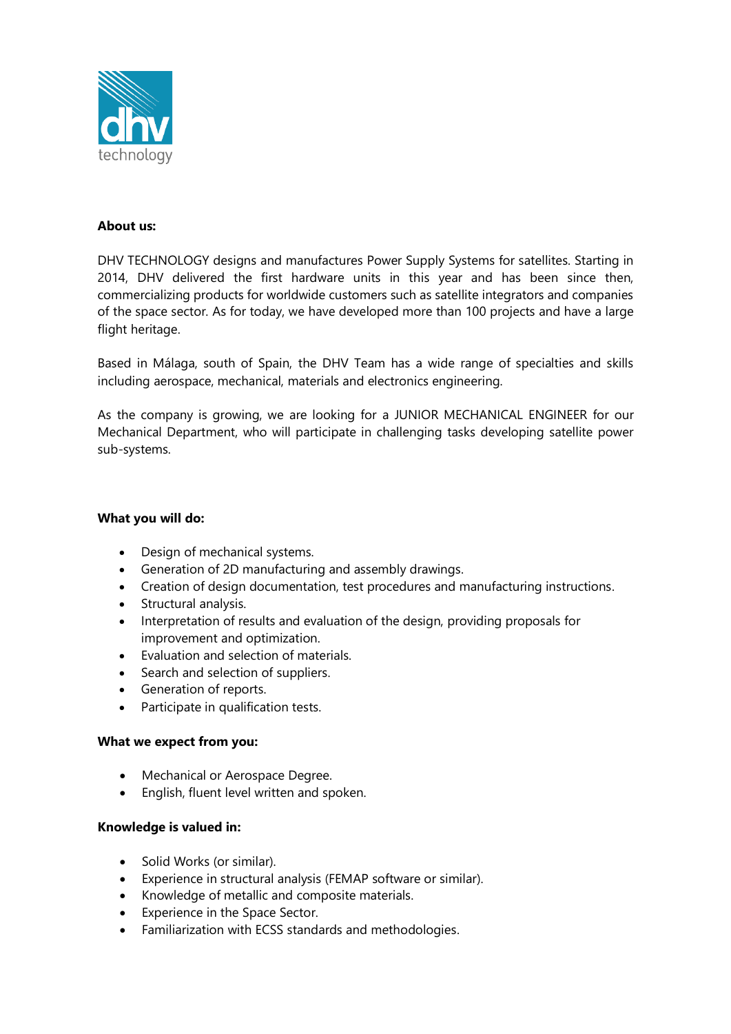

# **About us:**

DHV TECHNOLOGY designs and manufactures Power Supply Systems for satellites. Starting in 2014, DHV delivered the first hardware units in this year and has been since then, commercializing products for worldwide customers such as satellite integrators and companies of the space sector. As for today, we have developed more than 100 projects and have a large flight heritage.

Based in Málaga, south of Spain, the DHV Team has a wide range of specialties and skills including aerospace, mechanical, materials and electronics engineering.

As the company is growing, we are looking for a JUNIOR MECHANICAL ENGINEER for our Mechanical Department, who will participate in challenging tasks developing satellite power sub-systems.

# **What you will do:**

- Design of mechanical systems.
- Generation of 2D manufacturing and assembly drawings.
- Creation of design documentation, test procedures and manufacturing instructions.
- Structural analysis.
- Interpretation of results and evaluation of the design, providing proposals for improvement and optimization.
- Evaluation and selection of materials.
- Search and selection of suppliers.
- Generation of reports.
- Participate in qualification tests.

# **What we expect from you:**

- Mechanical or Aerospace Degree.
- English, fluent level written and spoken.

# **Knowledge is valued in:**

- Solid Works (or similar).
- Experience in structural analysis (FEMAP software or similar).
- Knowledge of metallic and composite materials.
- Experience in the Space Sector.
- Familiarization with ECSS standards and methodologies.